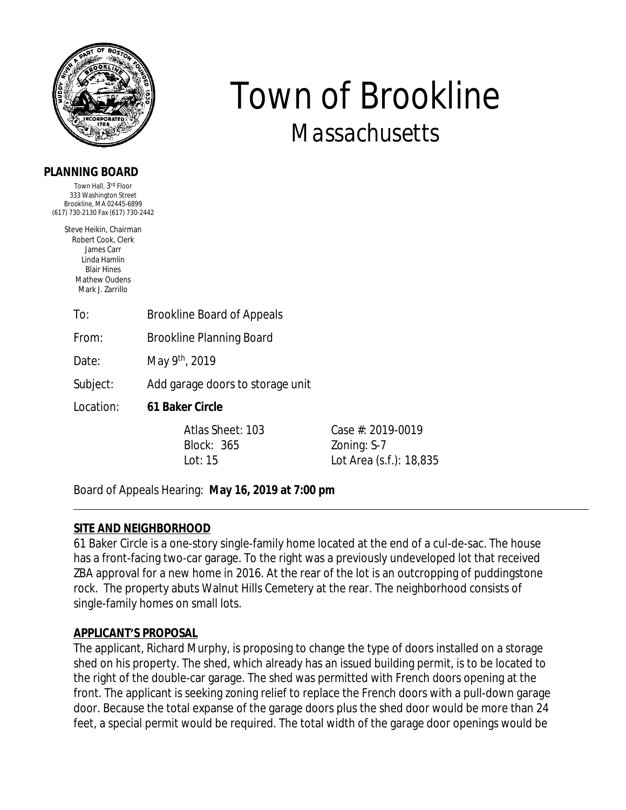

#### **PLANNING BOARD**

Town Hall, 3<sup>rd</sup> Floor 333 Washington Street Brookline, MA 02445-6899 (617) 730-2130 Fax (617) 730-2442

> Steve Heikin, Chairman Robert Cook, Clerk James Carr Linda Hamlin Blair Hines Mathew Oudens Mark J. Zarrillo

> > To: Brookline Board of Appeals

From: Brookline Planning Board

Date: May 9th, 2019

Subject: Add garage doors to storage unit

#### Location: **61 Baker Circle**

Block: 365 Zoning: S-7

Atlas Sheet: 103 Case #: 2019-0019 Lot: 15 Lot Area (s.f.): 18,835

*Town of Brookline*

*Massachusetts*

Board of Appeals Hearing: **May 16, 2019 at 7:00 pm**

## **SITE AND NEIGHBORHOOD**

61 Baker Circle is a one-story single-family home located at the end of a cul-de-sac. The house has a front-facing two-car garage. To the right was a previously undeveloped lot that received ZBA approval for a new home in 2016. At the rear of the lot is an outcropping of puddingstone rock. The property abuts Walnut Hills Cemetery at the rear. The neighborhood consists of single-family homes on small lots.

#### **APPLICANT'S PROPOSAL**

The applicant, Richard Murphy, is proposing to change the type of doors installed on a storage shed on his property. The shed, which already has an issued building permit, is to be located to the right of the double-car garage. The shed was permitted with French doors opening at the front. The applicant is seeking zoning relief to replace the French doors with a pull-down garage door. Because the total expanse of the garage doors plus the shed door would be more than 24 feet, a special permit would be required. The total width of the garage door openings would be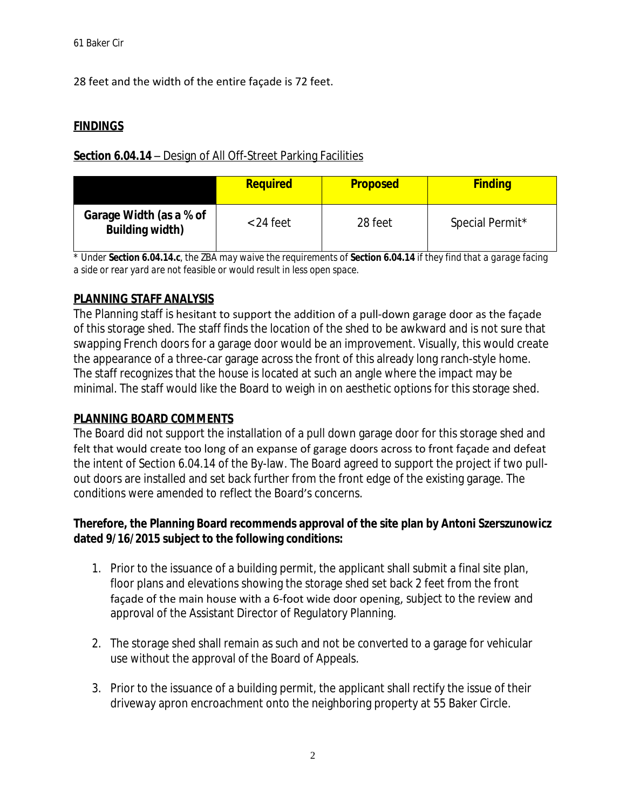28 feet and the width of the entire façade is 72 feet.

# **FINDINGS**

## **Section 6.04.14** – Design of All Off-Street Parking Facilities

|                                                   | <b>Required</b> | <b>Proposed</b> | <b>Finding</b>  |
|---------------------------------------------------|-----------------|-----------------|-----------------|
| Garage Width (as a % of<br><b>Building width)</b> | $<$ 24 feet     | 28 feet         | Special Permit* |

*\* Under Section 6.04.14.c, the ZBA may waive the requirements of Section 6.04.14 if they find that a garage facing a side or rear yard are not feasible or would result in less open space.* 

# **PLANNING STAFF ANALYSIS**

The Planning staff is hesitant to support the addition of a pull-down garage door as the façade of this storage shed. The staff finds the location of the shed to be awkward and is not sure that swapping French doors for a garage door would be an improvement. Visually, this would create the appearance of a three-car garage across the front of this already long ranch-style home. The staff recognizes that the house is located at such an angle where the impact may be minimal. The staff would like the Board to weigh in on aesthetic options for this storage shed.

## **PLANNING BOARD COMMENTS**

The Board did not support the installation of a pull down garage door for this storage shed and felt that would create too long of an expanse of garage doors across to front façade and defeat the intent of Section 6.04.14 of the By-law. The Board agreed to support the project if two pullout doors are installed and set back further from the front edge of the existing garage. The conditions were amended to reflect the Board's concerns.

## **Therefore, the Planning Board recommends approval of the site plan by Antoni Szerszunowicz dated 9/16/2015 subject to the following conditions:**

- 1. Prior to the issuance of a building permit, the applicant shall submit a final site plan, floor plans and elevations showing the storage shed set back 2 feet from the front façade of the main house with a 6-foot wide door opening, subject to the review and approval of the Assistant Director of Regulatory Planning.
- 2. The storage shed shall remain as such and not be converted to a garage for vehicular use without the approval of the Board of Appeals.
- 3. Prior to the issuance of a building permit, the applicant shall rectify the issue of their driveway apron encroachment onto the neighboring property at 55 Baker Circle.